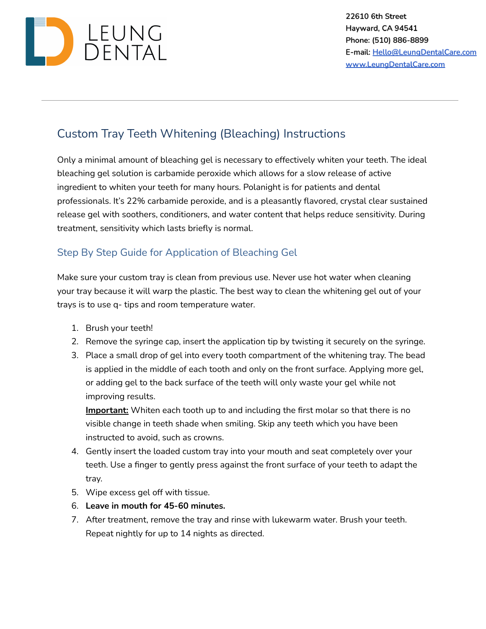

## Custom Tray Teeth Whitening (Bleaching) Instructions

Only a minimal amount of bleaching gel is necessary to effectively whiten your teeth. The ideal bleaching gel solution is carbamide peroxide which allows for a slow release of active ingredient to whiten your teeth for many hours. Polanight is for patients and dental professionals. It's 22% carbamide peroxide, and is a pleasantly flavored, crystal clear sustained release gel with soothers, conditioners, and water content that helps reduce sensitivity. During treatment, sensitivity which lasts briefly is normal.

## Step By Step Guide for Application of Bleaching Gel

Make sure your custom tray is clean from previous use. Never use hot water when cleaning your tray because it will warp the plastic. The best way to clean the whitening gel out of your trays is to use q- tips and room temperature water.

- 1. Brush your teeth!
- 2. Remove the syringe cap, insert the application tip by twisting it securely on the syringe.
- 3. Place a small drop of gel into every tooth compartment of the whitening tray. The bead is applied in the middle of each tooth and only on the front surface. Applying more gel, or adding gel to the back surface of the teeth will only waste your gel while not improving results.

**Important:** Whiten each tooth up to and including the first molar so that there is no visible change in teeth shade when smiling. Skip any teeth which you have been instructed to avoid, such as crowns.

- 4. Gently insert the loaded custom tray into your mouth and seat completely over your teeth. Use a finger to gently press against the front surface of your teeth to adapt the tray.
- 5. Wipe excess gel off with tissue.
- 6. **Leave in mouth for 45-60 minutes.**
- 7. After treatment, remove the tray and rinse with lukewarm water. Brush your teeth. Repeat nightly for up to 14 nights as directed.